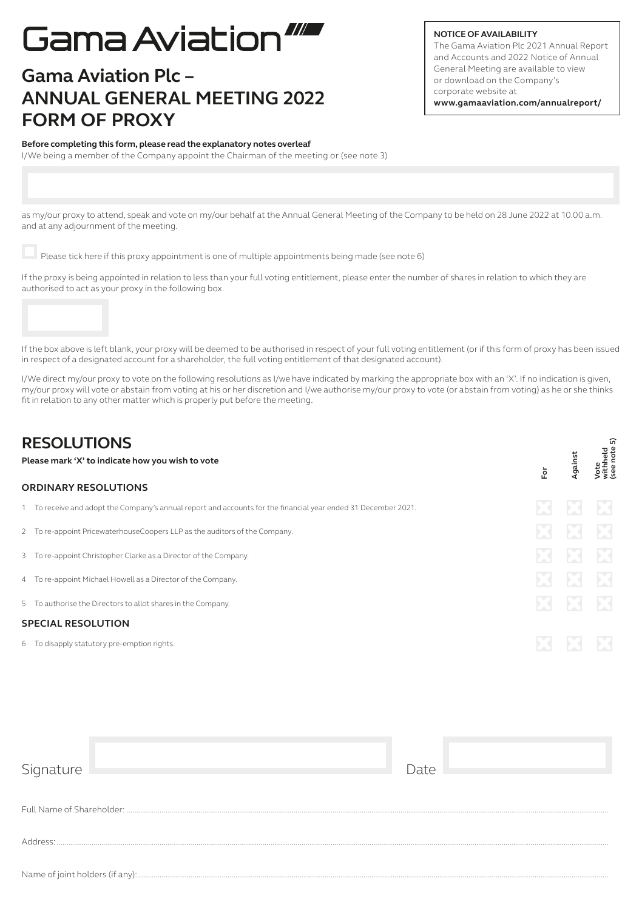# Gama Aviation"

## **Gama Aviation Plc – ANNUAL GENERAL MEETING 2022 FORM OF PROXY**

#### **NOTICE OF AVAILABILITY**

The Gama Aviation Plc 2021 Annual Report and Accounts and 2022 Notice of Annual General Meeting are available to view or download on the Company's corporate website at **www.gamaaviation.com/annualreport/**

#### **Before completing this form, please read the explanatory notes overleaf**

I/We being a member of the Company appoint the Chairman of the meeting or (see note 3)

as my/our proxy to attend, speak and vote on my/our behalf at the Annual General Meeting of the Company to be held on 28 June 2022 at 10.00 a.m. and at any adjournment of the meeting.

Please tick here if this proxy appointment is one of multiple appointments being made (see note 6)

If the proxy is being appointed in relation to less than your full voting entitlement, please enter the number of shares in relation to which they are authorised to act as your proxy in the following box.



If the box above is left blank, your proxy will be deemed to be authorised in respect of your full voting entitlement (or if this form of proxy has been issued in respect of a designated account for a shareholder, the full voting entitlement of that designated account).

I/We direct my/our proxy to vote on the following resolutions as I/we have indicated by marking the appropriate box with an 'X'. If no indication is given, my/our proxy will vote or abstain from voting at his or her discretion and I/we authorise my/our proxy to vote (or abstain from voting) as he or she thinks fit in relation to any other matter which is properly put before the meeting.

| <b>RESOLUTIONS</b><br>Please mark 'X' to indicate how you wish to vote |                                                                                                                | ŏ.           | Against | ត<br>Vote<br>withheld<br>(see note |
|------------------------------------------------------------------------|----------------------------------------------------------------------------------------------------------------|--------------|---------|------------------------------------|
|                                                                        | <b>ORDINARY RESOLUTIONS</b>                                                                                    |              |         |                                    |
|                                                                        | 1 To receive and adopt the Company's annual report and accounts for the financial year ended 31 December 2021. | X            |         | X                                  |
|                                                                        | 2 To re-appoint PricewaterhouseCoopers LLP as the auditors of the Company.                                     | $\boxtimes$  | ÞЗ      | $\mathbf{Z}$                       |
|                                                                        | 3 To re-appoint Christopher Clarke as a Director of the Company.                                               | $\mathbb{R}$ | ÐЗ      | $\mathbf{E}$                       |
|                                                                        | 4 To re-appoint Michael Howell as a Director of the Company.                                                   | X            |         | $\mathbf{Z}$                       |
|                                                                        | 5 To authorise the Directors to allot shares in the Company.                                                   | ES.          |         | $\mathbf{E}$                       |
|                                                                        | <b>SPECIAL RESOLUTION</b>                                                                                      |              |         |                                    |
|                                                                        | 6 To disapply statutory pre-emption rights.                                                                    |              |         |                                    |
|                                                                        |                                                                                                                |              |         |                                    |

| Signature                       |  | Date |  |  |  |  |  |
|---------------------------------|--|------|--|--|--|--|--|
|                                 |  |      |  |  |  |  |  |
|                                 |  |      |  |  |  |  |  |
| Address:                        |  |      |  |  |  |  |  |
|                                 |  |      |  |  |  |  |  |
| Name of joint holders (if any): |  |      |  |  |  |  |  |